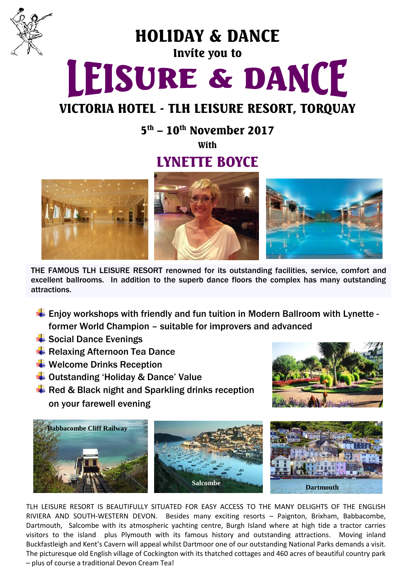

HOLIDAY & DANCE

### Invite you to

# LEISURE & DANCE

## VICTORIA HOTEL - TLH LEISURE RESORT, TORQUAY

 $5<sup>th</sup> - 10<sup>th</sup>$  November 2017

**With** 

## LYNETTE BOYCE



THE FAMOUS TLH LEISURE RESORT renowned for its outstanding facilities, service, comfort and excellent ballrooms. In addition to the superb dance floors the complex has many outstanding attractions.

- $\ddot{\phantom{1}}$  Enjoy workshops with friendly and fun tuition in Modern Ballroom with Lynette former World Champion – suitable for improvers and advanced
- $\frac{1}{2}$  Social Dance Evenings
- Relaxing Afternoon Tea Dance
- $\bigstar$  Welcome Drinks Reception
- ↓ Outstanding 'Holiday & Dance' Value
- $\overline{\textbf{H}}$  Red & Black night and Sparkling drinks reception on your farewell evening





TLH LEISURE RESORT IS BEAUTIFULLY SITUATED FOR EASY ACCESS TO THE MANY DELIGHTS OF THE ENGLISH RIVIERA AND SOUTH-WESTERN DEVON. Besides many exciting resorts – Paignton, Brixham, Babbacombe, Dartmouth, Salcombe with its atmospheric yachting centre, Burgh Island where at high tide a tractor carries visitors to the island plus Plymouth with its famous history and outstanding attractions. Moving inland Buckfastleigh and Kent's Cavern will appeal whilst Dartmoor one of our outstanding National Parks demands a visit. The picturesque old English village of Cockington with its thatched cottages and 460 acres of beautiful country park – plus of course a traditional Devon Cream Tea!